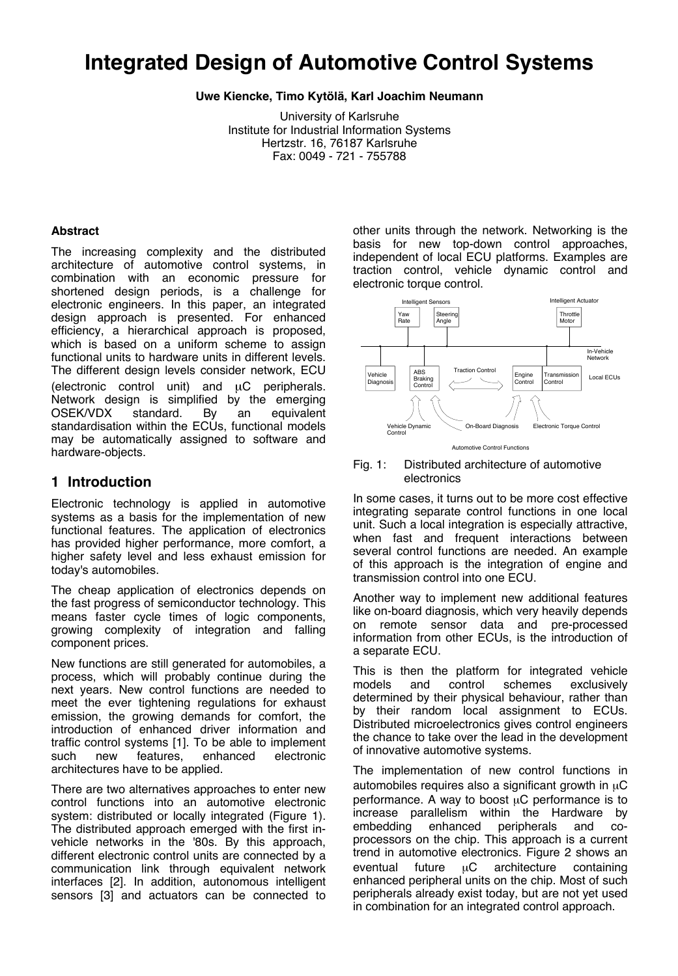# **Integrated Design of Automotive Control Systems**

**Uwe Kiencke, Timo Kytölä, Karl Joachim Neumann**

University of Karlsruhe Institute for Industrial Information Systems Hertzstr. 16, 76187 Karlsruhe Fax: 0049 - 721 - 755788

#### **Abstract**

The increasing complexity and the distributed architecture of automotive control systems, in combination with an economic pressure for shortened design periods, is a challenge for electronic engineers. In this paper, an integrated design approach is presented. For enhanced efficiency, a hierarchical approach is proposed, which is based on a uniform scheme to assign functional units to hardware units in different levels. The different design levels consider network, ECU (electronic control unit) and µC peripherals. Network design is simplified by the emerging OSEK/VDX standard. By an equivalent standardisation within the ECUs, functional models may be automatically assigned to software and hardware-objects.

## **1 Introduction**

Electronic technology is applied in automotive systems as a basis for the implementation of new functional features. The application of electronics has provided higher performance, more comfort, a higher safety level and less exhaust emission for today's automobiles.

The cheap application of electronics depends on the fast progress of semiconductor technology. This means faster cycle times of logic components, growing complexity of integration and falling component prices.

New functions are still generated for automobiles, a process, which will probably continue during the next years. New control functions are needed to meet the ever tightening regulations for exhaust emission, the growing demands for comfort, the introduction of enhanced driver information and traffic control systems [1]. To be able to implement<br>such new features, enhanced electronic enhanced architectures have to be applied.

There are two alternatives approaches to enter new control functions into an automotive electronic system: distributed or locally integrated (Figure 1). The distributed approach emerged with the first invehicle networks in the '80s. By this approach, different electronic control units are connected by a communication link through equivalent network interfaces [2]. In addition, autonomous intelligent sensors [3] and actuators can be connected to

other units through the network. Networking is the basis for new top-down control approaches, independent of local ECU platforms. Examples are traction control, vehicle dynamic control and electronic torque control.



Fig. 1: Distributed architecture of automotive electronics

In some cases, it turns out to be more cost effective integrating separate control functions in one local unit. Such a local integration is especially attractive, when fast and frequent interactions between several control functions are needed. An example of this approach is the integration of engine and transmission control into one ECU.

Another way to implement new additional features like on-board diagnosis, which very heavily depends on remote sensor data and pre-processed information from other ECUs, is the introduction of a separate ECU.

This is then the platform for integrated vehicle models and control schemes exclusively determined by their physical behaviour, rather than by their random local assignment to ECUs. Distributed microelectronics gives control engineers the chance to take over the lead in the development of innovative automotive systems.

The implementation of new control functions in automobiles requires also a significant growth in  $\mu$ C performance. A way to boost  $\mu$ C performance is to increase parallelism within the Hardware by embedding enhanced peripherals and coprocessors on the chip. This approach is a current trend in automotive electronics. Figure 2 shows an eventual future  $\mu$ C architecture containing enhanced peripheral units on the chip. Most of such peripherals already exist today, but are not yet used in combination for an integrated control approach.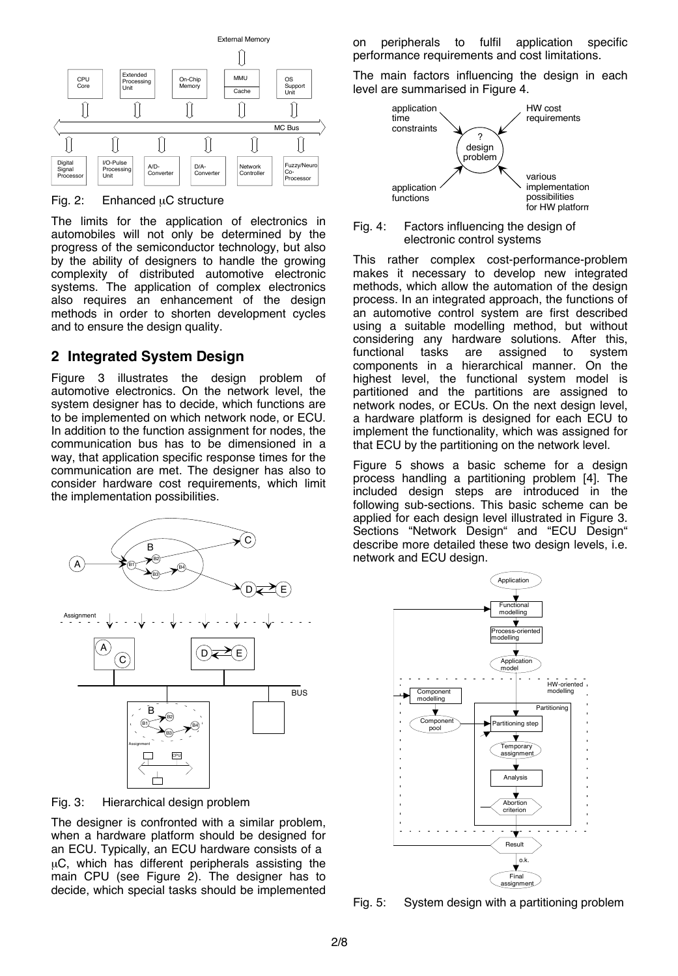

#### Fig. 2: Enhanced  $\mu$ C structure

The limits for the application of electronics in automobiles will not only be determined by the progress of the semiconductor technology, but also by the ability of designers to handle the growing complexity of distributed automotive electronic systems. The application of complex electronics also requires an enhancement of the design methods in order to shorten development cycles and to ensure the design quality.

## **2 Integrated System Design**

Figure 3 illustrates the design problem of automotive electronics. On the network level, the system designer has to decide, which functions are to be implemented on which network node, or ECU. In addition to the function assignment for nodes, the communication bus has to be dimensioned in a way, that application specific response times for the communication are met. The designer has also to consider hardware cost requirements, which limit the implementation possibilities.



Fig. 3: Hierarchical design problem

The designer is confronted with a similar problem, when a hardware platform should be designed for an ECU. Typically, an ECU hardware consists of a µC, which has different peripherals assisting the main CPU (see Figure 2). The designer has to decide, which special tasks should be implemented

on peripherals to fulfil application specific performance requirements and cost limitations.

The main factors influencing the design in each level are summarised in Figure 4.





This rather complex cost-performance-problem makes it necessary to develop new integrated methods, which allow the automation of the design process. In an integrated approach, the functions of an automotive control system are first described using a suitable modelling method, but without considering any hardware solutions. After this, functional tasks are assigned to system components in a hierarchical manner. On the highest level, the functional system model is partitioned and the partitions are assigned to network nodes, or ECUs. On the next design level, a hardware platform is designed for each ECU to implement the functionality, which was assigned for that ECU by the partitioning on the network level.

Figure 5 shows a basic scheme for a design process handling a partitioning problem [4]. The included design steps are introduced in the following sub-sections. This basic scheme can be applied for each design level illustrated in Figure 3. Sections "Network Design" and "ECU Design" describe more detailed these two design levels, i.e. network and ECU design.



Fig. 5: System design with a partitioning problem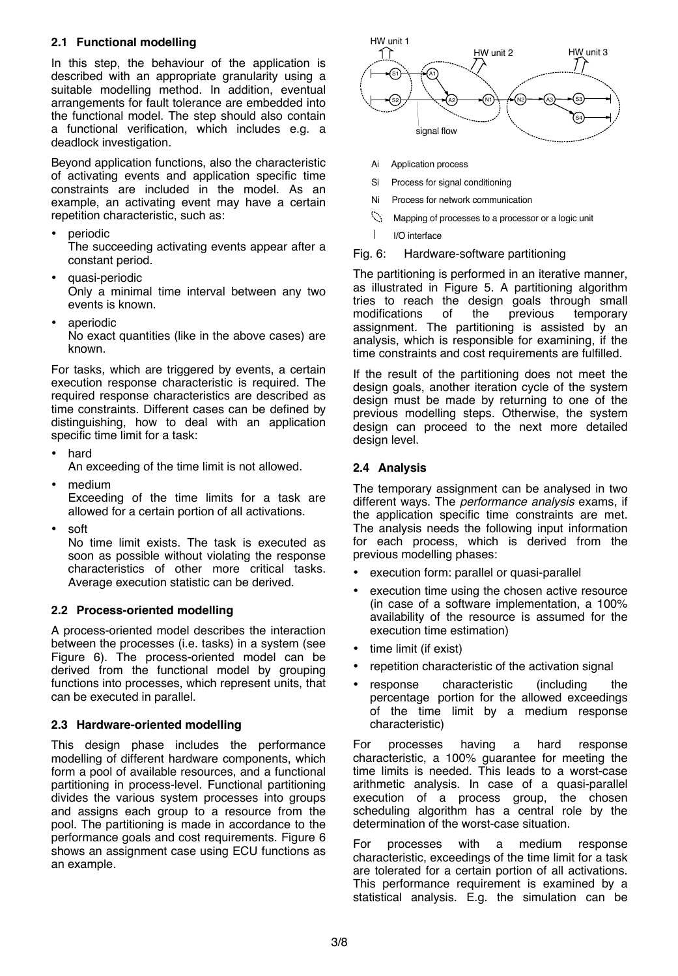## **2.1 Functional modelling**

In this step, the behaviour of the application is described with an appropriate granularity using a suitable modelling method. In addition, eventual arrangements for fault tolerance are embedded into the functional model. The step should also contain a functional verification, which includes e.g. a deadlock investigation.

Beyond application functions, also the characteristic of activating events and application specific time constraints are included in the model. As an example, an activating event may have a certain repetition characteristic, such as:

periodic

The succeeding activating events appear after a constant period.

- quasi-periodic Only a minimal time interval between any two events is known.
- aperiodic

No exact quantities (like in the above cases) are known.

For tasks, which are triggered by events, a certain execution response characteristic is required. The required response characteristics are described as time constraints. Different cases can be defined by distinguishing, how to deal with an application specific time limit for a task:

• hard

An exceeding of the time limit is not allowed.

- medium Exceeding of the time limits for a task are allowed for a certain portion of all activations.
- soft

No time limit exists. The task is executed as soon as possible without violating the response characteristics of other more critical tasks. Average execution statistic can be derived.

## **2.2 Process-oriented modelling**

A process-oriented model describes the interaction between the processes (i.e. tasks) in a system (see Figure 6). The process-oriented model can be derived from the functional model by grouping functions into processes, which represent units, that can be executed in parallel.

#### **2.3 Hardware-oriented modelling**

This design phase includes the performance modelling of different hardware components, which form a pool of available resources, and a functional partitioning in process-level. Functional partitioning divides the various system processes into groups and assigns each group to a resource from the pool. The partitioning is made in accordance to the performance goals and cost requirements. Figure 6 shows an assignment case using ECU functions as an example.



- Ai Application process
- Si Process for signal conditioning
- Ni Process for network communication
- $\mathbb{C}^{\mathbb{Z}}$ Mapping of processes to a processor or a logic unit
- $\mathbf{I}$ I/O interface
- Fig. 6: Hardware-software partitioning

The partitioning is performed in an iterative manner, as illustrated in Figure 5. A partitioning algorithm tries to reach the design goals through small<br>modifications of the previous temporary modifications of the previous temporary assignment. The partitioning is assisted by an analysis, which is responsible for examining, if the time constraints and cost requirements are fulfilled.

If the result of the partitioning does not meet the design goals, another iteration cycle of the system design must be made by returning to one of the previous modelling steps. Otherwise, the system design can proceed to the next more detailed design level.

#### **2.4 Analysis**

The temporary assignment can be analysed in two different ways. The *performance analysis* exams, if the application specific time constraints are met. The analysis needs the following input information for each process, which is derived from the previous modelling phases:

- execution form: parallel or quasi-parallel
- execution time using the chosen active resource (in case of a software implementation, a 100% availability of the resource is assumed for the execution time estimation)
- time limit (if exist)
- repetition characteristic of the activation signal
- response characteristic (including the percentage portion for the allowed exceedings of the time limit by a medium response characteristic)

For processes having a hard response characteristic, a 100% guarantee for meeting the time limits is needed. This leads to a worst-case arithmetic analysis. In case of a quasi-parallel execution of a process group, the chosen scheduling algorithm has a central role by the determination of the worst-case situation.

For processes with a medium response characteristic, exceedings of the time limit for a task are tolerated for a certain portion of all activations. This performance requirement is examined by a statistical analysis. E.g. the simulation can be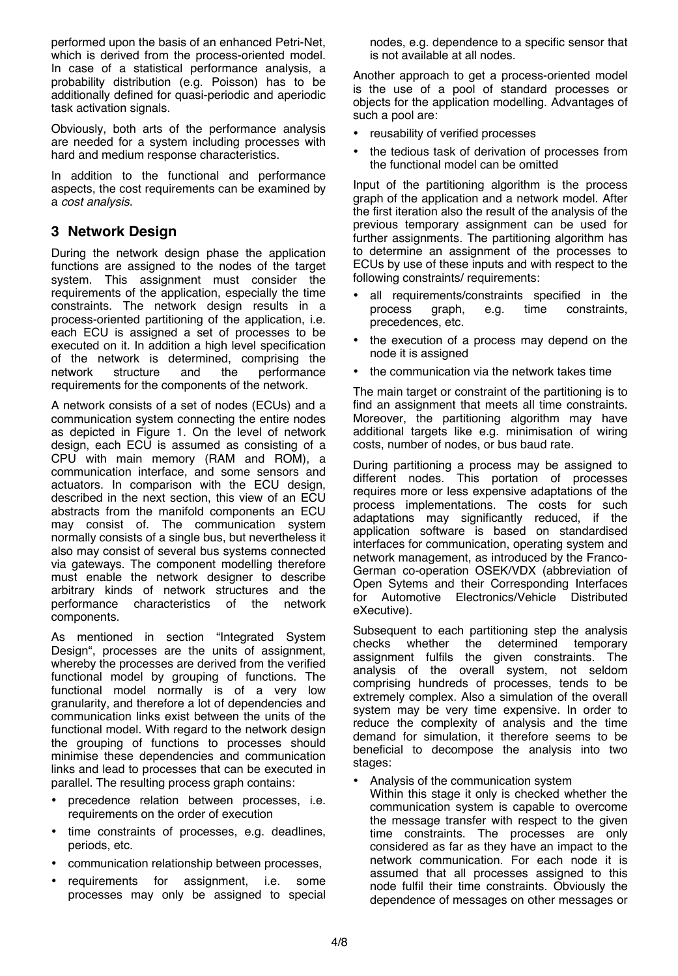performed upon the basis of an enhanced Petri-Net, which is derived from the process-oriented model. In case of a statistical performance analysis, a probability distribution (e.g. Poisson) has to be additionally defined for quasi-periodic and aperiodic task activation signals.

Obviously, both arts of the performance analysis are needed for a system including processes with hard and medium response characteristics.

In addition to the functional and performance aspects, the cost requirements can be examined by a *cost analysis*.

# **3 Network Design**

During the network design phase the application functions are assigned to the nodes of the target system. This assignment must consider the requirements of the application, especially the time constraints. The network design results in a process-oriented partitioning of the application, i.e. each ECU is assigned a set of processes to be executed on it. In addition a high level specification of the network is determined, comprising the network structure and the performance network structure and the performance requirements for the components of the network.

A network consists of a set of nodes (ECUs) and a communication system connecting the entire nodes as depicted in Figure 1. On the level of network design, each ECU is assumed as consisting of a CPU with main memory (RAM and ROM), a communication interface, and some sensors and actuators. In comparison with the ECU design, described in the next section, this view of an ECU abstracts from the manifold components an ECU may consist of. The communication system normally consists of a single bus, but nevertheless it also may consist of several bus systems connected via gateways. The component modelling therefore must enable the network designer to describe arbitrary kinds of network structures and the performance characteristics of the network components.

As mentioned in section "Integrated System Design", processes are the units of assignment, whereby the processes are derived from the verified functional model by grouping of functions. The functional model normally is of a very low granularity, and therefore a lot of dependencies and communication links exist between the units of the functional model. With regard to the network design the grouping of functions to processes should minimise these dependencies and communication links and lead to processes that can be executed in parallel. The resulting process graph contains:

- precedence relation between processes, i.e. requirements on the order of execution
- time constraints of processes, e.g. deadlines, periods, etc.
- communication relationship between processes,
- requirements for assignment, i.e. some processes may only be assigned to special

nodes, e.g. dependence to a specific sensor that is not available at all nodes.

Another approach to get a process-oriented model is the use of a pool of standard processes or objects for the application modelling. Advantages of such a pool are:

- reusability of verified processes
- the tedious task of derivation of processes from the functional model can be omitted

Input of the partitioning algorithm is the process graph of the application and a network model. After the first iteration also the result of the analysis of the previous temporary assignment can be used for further assignments. The partitioning algorithm has to determine an assignment of the processes to ECUs by use of these inputs and with respect to the following constraints/ requirements:

- all requirements/constraints specified in the process graph, e.g. time constraints, process graph, e.g. time constraints, precedences, etc.
- the execution of a process may depend on the node it is assigned
- the communication via the network takes time

The main target or constraint of the partitioning is to find an assignment that meets all time constraints. Moreover, the partitioning algorithm may have additional targets like e.g. minimisation of wiring costs, number of nodes, or bus baud rate.

During partitioning a process may be assigned to different nodes. This portation of processes requires more or less expensive adaptations of the process implementations. The costs for such adaptations may significantly reduced, if the application software is based on standardised interfaces for communication, operating system and network management, as introduced by the Franco-German co-operation OSEK/VDX (abbreviation of Open Sytems and their Corresponding Interfaces for Automotive Electronics/Vehicle Distributed eXecutive).

Subsequent to each partitioning step the analysis checks whether the determined temporary assignment fulfils the given constraints. The analysis of the overall system, not seldom comprising hundreds of processes, tends to be extremely complex. Also a simulation of the overall system may be very time expensive. In order to reduce the complexity of analysis and the time demand for simulation, it therefore seems to be beneficial to decompose the analysis into two stages:

- Analysis of the communication system
- Within this stage it only is checked whether the communication system is capable to overcome the message transfer with respect to the given time constraints. The processes are only considered as far as they have an impact to the network communication. For each node it is assumed that all processes assigned to this node fulfil their time constraints. Obviously the dependence of messages on other messages or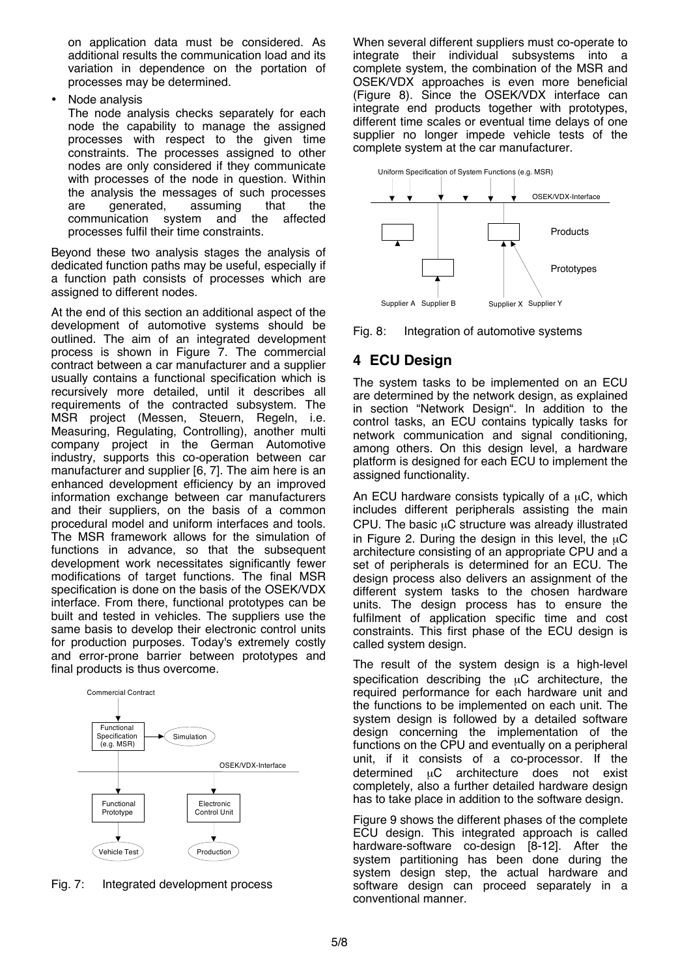on application data must be considered. As additional results the communication load and its variation in dependence on the portation of processes may be determined.

• Node analysis

The node analysis checks separately for each node the capability to manage the assigned processes with respect to the given time constraints. The processes assigned to other nodes are only considered if they communicate with processes of the node in question. Within the analysis the messages of such processes<br>are qenerated, assuming that the are generated, assuming that the communication system and the affected processes fulfil their time constraints.

Beyond these two analysis stages the analysis of dedicated function paths may be useful, especially if a function path consists of processes which are assigned to different nodes.

At the end of this section an additional aspect of the development of automotive systems should be outlined. The aim of an integrated development process is shown in Figure 7. The commercial contract between a car manufacturer and a supplier usually contains a functional specification which is recursively more detailed, until it describes all requirements of the contracted subsystem. The MSR project (Messen, Steuern, Regeln, i.e. Measuring, Regulating, Controlling), another multi company project in the German Automotive industry, supports this co-operation between car manufacturer and supplier [6, 7]. The aim here is an enhanced development efficiency by an improved information exchange between car manufacturers and their suppliers, on the basis of a common procedural model and uniform interfaces and tools. The MSR framework allows for the simulation of functions in advance, so that the subsequent development work necessitates significantly fewer modifications of target functions. The final MSR specification is done on the basis of the OSEK/VDX interface. From there, functional prototypes can be built and tested in vehicles. The suppliers use the same basis to develop their electronic control units for production purposes. Today's extremely costly and error-prone barrier between prototypes and final products is thus overcome.



Fig. 7: Integrated development process

When several different suppliers must co-operate to integrate their individual subsystems into a complete system, the combination of the MSR and OSEK/VDX approaches is even more beneficial (Figure 8). Since the OSEK/VDX interface can integrate end products together with prototypes, different time scales or eventual time delays of one supplier no longer impede vehicle tests of the complete system at the car manufacturer.



Fig. 8: Integration of automotive systems

# **4 ECU Design**

The system tasks to be implemented on an ECU are determined by the network design, as explained in section "Network Design". In addition to the control tasks, an ECU contains typically tasks for network communication and signal conditioning, among others. On this design level, a hardware platform is designed for each ECU to implement the assigned functionality.

An ECU hardware consists typically of a  $\mu$ C, which includes different peripherals assisting the main CPU. The basic  $\mu$ C structure was already illustrated in Figure 2. During the design in this level, the  $\mu$ C architecture consisting of an appropriate CPU and a set of peripherals is determined for an ECU. The design process also delivers an assignment of the different system tasks to the chosen hardware units. The design process has to ensure the fulfilment of application specific time and cost constraints. This first phase of the ECU design is called system design.

The result of the system design is a high-level specification describing the  $\mu$ C architecture, the required performance for each hardware unit and the functions to be implemented on each unit. The system design is followed by a detailed software design concerning the implementation of the functions on the CPU and eventually on a peripheral unit, if it consists of a co-processor. If the determined µC architecture does not exist completely, also a further detailed hardware design has to take place in addition to the software design.

Figure 9 shows the different phases of the complete ECU design. This integrated approach is called hardware-software co-design [8-12]. After the system partitioning has been done during the system design step, the actual hardware and software design can proceed separately in a conventional manner.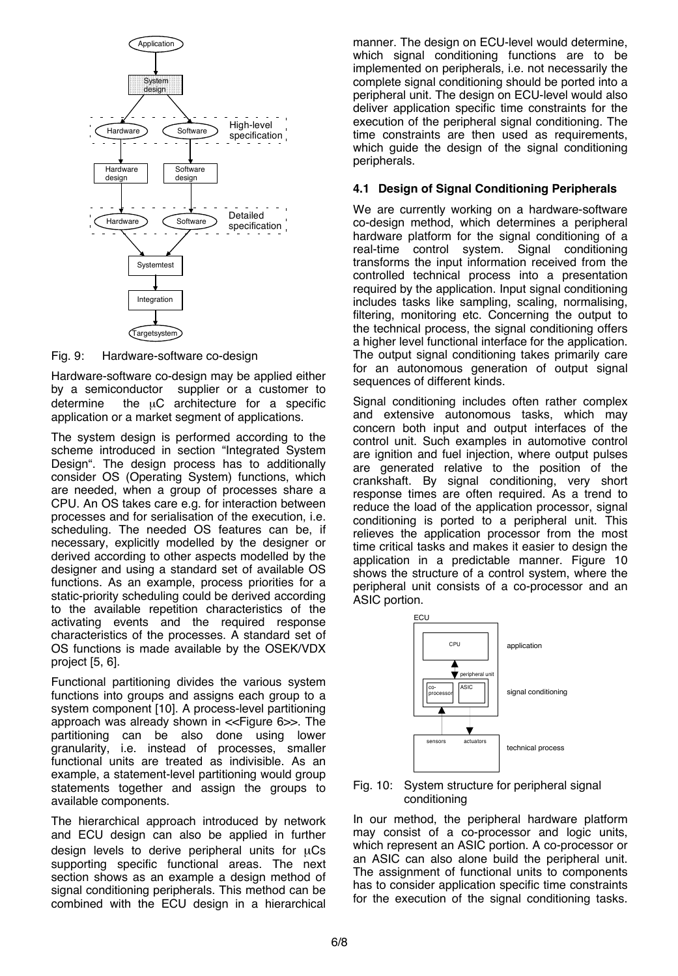

Fig. 9: Hardware-software co-design

Hardware-software co-design may be applied either by a semiconductor supplier or a customer to determine the  $\mu$ C architecture for a specific application or a market segment of applications.

The system design is performed according to the scheme introduced in section "Integrated System Design". The design process has to additionally consider OS (Operating System) functions, which are needed, when a group of processes share a CPU. An OS takes care e.g. for interaction between processes and for serialisation of the execution, i.e. scheduling. The needed OS features can be, if necessary, explicitly modelled by the designer or derived according to other aspects modelled by the designer and using a standard set of available OS functions. As an example, process priorities for a static-priority scheduling could be derived according to the available repetition characteristics of the activating events and the required response characteristics of the processes. A standard set of OS functions is made available by the OSEK/VDX project [5, 6].

Functional partitioning divides the various system functions into groups and assigns each group to a system component [10]. A process-level partitioning approach was already shown in <<Figure 6>>. The partitioning can be also done using lower granularity, i.e. instead of processes, smaller functional units are treated as indivisible. As an example, a statement-level partitioning would group statements together and assign the groups to available components.

The hierarchical approach introduced by network and ECU design can also be applied in further design levels to derive peripheral units for  $\mu$ Cs supporting specific functional areas. The next section shows as an example a design method of signal conditioning peripherals. This method can be combined with the ECU design in a hierarchical

manner. The design on ECU-level would determine, which signal conditioning functions are to be implemented on peripherals, i.e. not necessarily the complete signal conditioning should be ported into a peripheral unit. The design on ECU-level would also deliver application specific time constraints for the execution of the peripheral signal conditioning. The time constraints are then used as requirements, which guide the design of the signal conditioning peripherals.

#### **4.1 Design of Signal Conditioning Peripherals**

We are currently working on a hardware-software co-design method, which determines a peripheral hardware platform for the signal conditioning of a real-time control system. Signal conditioning transforms the input information received from the controlled technical process into a presentation required by the application. Input signal conditioning includes tasks like sampling, scaling, normalising, filtering, monitoring etc. Concerning the output to the technical process, the signal conditioning offers a higher level functional interface for the application. The output signal conditioning takes primarily care for an autonomous generation of output signal sequences of different kinds.

Signal conditioning includes often rather complex and extensive autonomous tasks, which may concern both input and output interfaces of the control unit. Such examples in automotive control are ignition and fuel injection, where output pulses are generated relative to the position of the crankshaft. By signal conditioning, very short response times are often required. As a trend to reduce the load of the application processor, signal conditioning is ported to a peripheral unit. This relieves the application processor from the most time critical tasks and makes it easier to design the application in a predictable manner. Figure 10 shows the structure of a control system, where the peripheral unit consists of a co-processor and an ASIC portion.



#### Fig. 10: System structure for peripheral signal conditioning

In our method, the peripheral hardware platform may consist of a co-processor and logic units, which represent an ASIC portion. A co-processor or an ASIC can also alone build the peripheral unit. The assignment of functional units to components has to consider application specific time constraints for the execution of the signal conditioning tasks.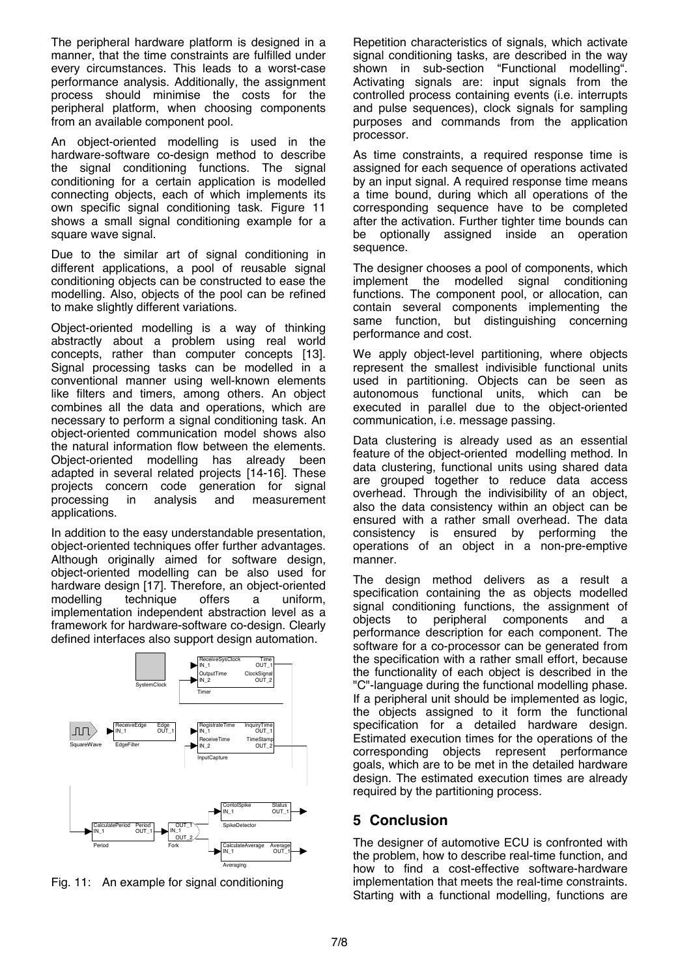The peripheral hardware platform is designed in a manner, that the time constraints are fulfilled under every circumstances. This leads to a worst-case performance analysis. Additionally, the assignment process should minimise the costs for the peripheral platform, when choosing components from an available component pool.

An object-oriented modelling is used in the hardware-software co-design method to describe the signal conditioning functions. The signal conditioning for a certain application is modelled connecting objects, each of which implements its own specific signal conditioning task. Figure 11 shows a small signal conditioning example for a square wave signal.

Due to the similar art of signal conditioning in different applications, a pool of reusable signal conditioning objects can be constructed to ease the modelling. Also, objects of the pool can be refined to make slightly different variations.

Object-oriented modelling is a way of thinking abstractly about a problem using real world concepts, rather than computer concepts [13]. Signal processing tasks can be modelled in a conventional manner using well-known elements like filters and timers, among others. An object combines all the data and operations, which are necessary to perform a signal conditioning task. An object-oriented communication model shows also the natural information flow between the elements. Object-oriented modelling has already been adapted in several related projects [14-16]. These projects concern code generation for signal processing in analysis and measurement applications.

In addition to the easy understandable presentation, object-oriented techniques offer further advantages. Although originally aimed for software design, object-oriented modelling can be also used for hardware design [17]. Therefore, an object-oriented modelling technique offers a uniform, technique offers a uniform, implementation independent abstraction level as a framework for hardware-software co-design. Clearly defined interfaces also support design automation.



Fig. 11: An example for signal conditioning

Repetition characteristics of signals, which activate signal conditioning tasks, are described in the way shown in sub-section "Functional modelling". Activating signals are: input signals from the controlled process containing events (i.e. interrupts and pulse sequences), clock signals for sampling purposes and commands from the application processor.

As time constraints, a required response time is assigned for each sequence of operations activated by an input signal. A required response time means a time bound, during which all operations of the corresponding sequence have to be completed after the activation. Further tighter time bounds can be optionally assigned inside an operation sequence.

The designer chooses a pool of components, which implement the modelled signal conditioning functions. The component pool, or allocation, can contain several components implementing the same function, but distinguishing concerning performance and cost.

We apply object-level partitioning, where objects represent the smallest indivisible functional units used in partitioning. Objects can be seen as autonomous functional units, which can be executed in parallel due to the object-oriented communication, i.e. message passing.

Data clustering is already used as an essential feature of the object-oriented modelling method. In data clustering, functional units using shared data are grouped together to reduce data access overhead. Through the indivisibility of an object, also the data consistency within an object can be ensured with a rather small overhead. The data consistency is ensured by performing the operations of an object in a non-pre-emptive manner.

The design method delivers as a result a specification containing the as objects modelled signal conditioning functions, the assignment of objects to peripheral components and a performance description for each component. The software for a co-processor can be generated from the specification with a rather small effort, because the functionality of each object is described in the "C"-language during the functional modelling phase. If a peripheral unit should be implemented as logic, the objects assigned to it form the functional specification for a detailed hardware design. Estimated execution times for the operations of the corresponding objects represent performance goals, which are to be met in the detailed hardware design. The estimated execution times are already required by the partitioning process.

# **5 Conclusion**

The designer of automotive ECU is confronted with the problem, how to describe real-time function, and how to find a cost-effective software-hardware implementation that meets the real-time constraints. Starting with a functional modelling, functions are